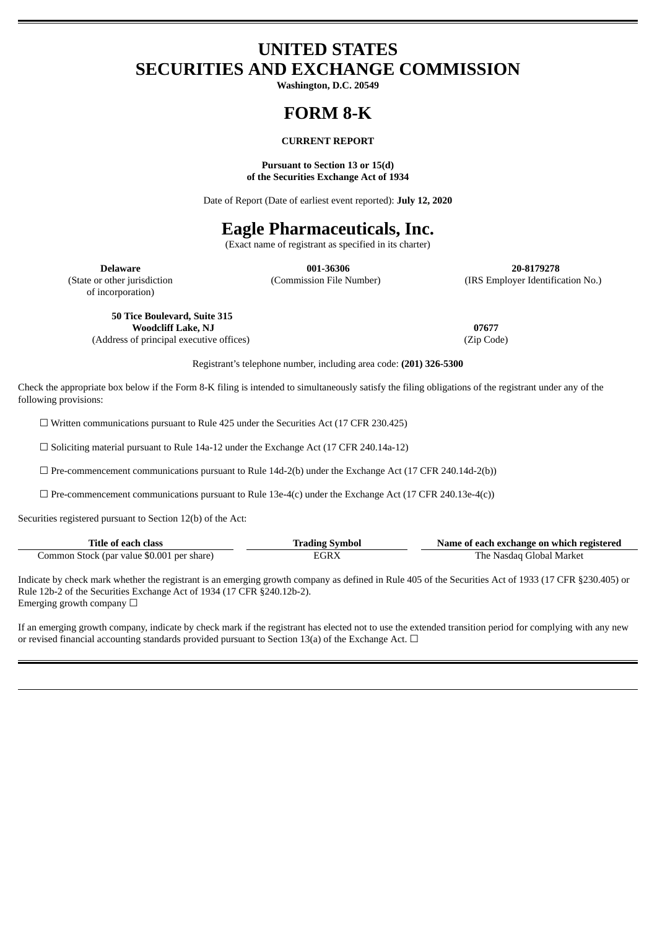## **UNITED STATES SECURITIES AND EXCHANGE COMMISSION**

**Washington, D.C. 20549**

# **FORM 8-K**

#### **CURRENT REPORT**

#### **Pursuant to Section 13 or 15(d) of the Securities Exchange Act of 1934**

Date of Report (Date of earliest event reported): **July 12, 2020**

## **Eagle Pharmaceuticals, Inc.**

(Exact name of registrant as specified in its charter)

of incorporation)

**Delaware 001-36306 20-8179278** (State or other jurisdiction (Commission File Number) (IRS Employer Identification No.)

**50 Tice Boulevard, Suite 315 Woodcliff Lake, NJ 07677**

(Address of principal executive offices) (Zip Code)

Registrant's telephone number, including area code: **(201) 326-5300**

Check the appropriate box below if the Form 8-K filing is intended to simultaneously satisfy the filing obligations of the registrant under any of the following provisions:

☐ Written communications pursuant to Rule 425 under the Securities Act (17 CFR 230.425)

☐ Soliciting material pursuant to Rule 14a-12 under the Exchange Act (17 CFR 240.14a-12)

 $\square$  Pre-commencement communications pursuant to Rule 14d-2(b) under the Exchange Act (17 CFR 240.14d-2(b))

 $\Box$  Pre-commencement communications pursuant to Rule 13e-4(c) under the Exchange Act (17 CFR 240.13e-4(c))

Securities registered pursuant to Section 12(b) of the Act:

| Title of each class                        | Trading Symbol | Name of each exchange on which registered |
|--------------------------------------------|----------------|-------------------------------------------|
| Common Stock (par value \$0.001 per share) | лтКХ.          | The Nasdag Global Market                  |

Indicate by check mark whether the registrant is an emerging growth company as defined in Rule 405 of the Securities Act of 1933 (17 CFR §230.405) or Rule 12b-2 of the Securities Exchange Act of 1934 (17 CFR §240.12b-2). Emerging growth company □

If an emerging growth company, indicate by check mark if the registrant has elected not to use the extended transition period for complying with any new or revised financial accounting standards provided pursuant to Section 13(a) of the Exchange Act.  $\Box$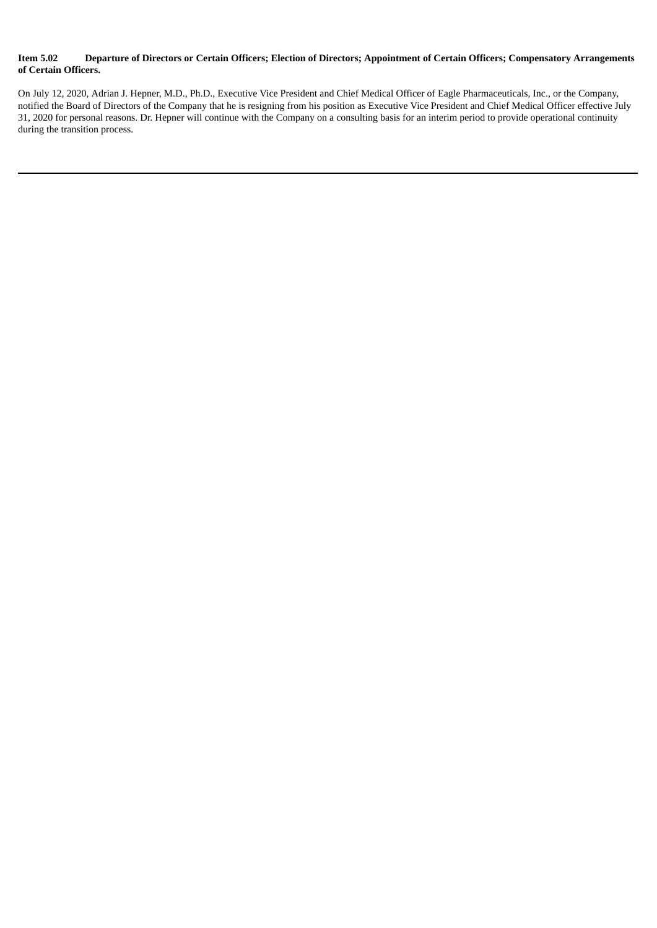#### Item 5.02 Departure of Directors or Certain Officers; Election of Directors; Appointment of Certain Officers; Compensatory Arrangements **of Certain Officers.**

On July 12, 2020, Adrian J. Hepner, M.D., Ph.D., Executive Vice President and Chief Medical Officer of Eagle Pharmaceuticals, Inc., or the Company, notified the Board of Directors of the Company that he is resigning from his position as Executive Vice President and Chief Medical Officer effective July 31, 2020 for personal reasons. Dr. Hepner will continue with the Company on a consulting basis for an interim period to provide operational continuity during the transition process.